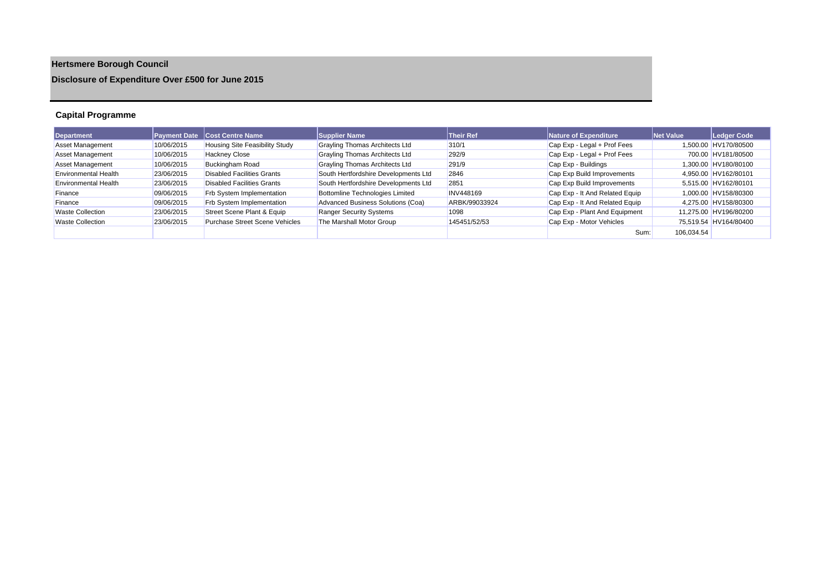# **Hertsmere Borough Council**

# **Disclosure of Expenditure Over £500 for June 2015**

## **Capital Programme**

| Department                  |            | <b>Payment Date Cost Centre Name</b>  | <b>Supplier Name</b>                 | <b>Their Ref</b> | Nature of Expenditure          | <b>Net Value</b> | Ledger Code           |
|-----------------------------|------------|---------------------------------------|--------------------------------------|------------------|--------------------------------|------------------|-----------------------|
| <b>Asset Management</b>     | 10/06/2015 | <b>Housing Site Feasibility Study</b> | Grayling Thomas Architects Ltd       | 310/1            | Cap Exp - Legal + Prof Fees    |                  | 1.500.00 HV170/80500  |
| <b>Asset Management</b>     | 10/06/2015 | <b>Hackney Close</b>                  | Grayling Thomas Architects Ltd       | 292/9            | Cap Exp - Legal + Prof Fees    |                  | 700.00 HV181/80500    |
| <b>Asset Management</b>     | 10/06/2015 | Buckingham Road                       | Grayling Thomas Architects Ltd       | 291/9            | Cap Exp - Buildings            |                  | 1.300.00 HV180/80100  |
| <b>Environmental Health</b> | 23/06/2015 | Disabled Facilities Grants            | South Hertfordshire Developments Ltd | 2846             | Cap Exp Build Improvements     |                  | 4.950.00 HV162/80101  |
| <b>Environmental Health</b> | 23/06/2015 | Disabled Facilities Grants            | South Hertfordshire Developments Ltd | 2851             | Cap Exp Build Improvements     |                  | 5,515.00 HV162/80101  |
| Finance                     | 09/06/2015 | <b>Frb System Implementation</b>      | Bottomline Technologies Limited      | <b>INV448169</b> | Cap Exp - It And Related Equip |                  | 1.000.00 HV158/80300  |
| Finance                     | 09/06/2015 | <b>Frb System Implementation</b>      | Advanced Business Solutions (Coa)    | ARBK/99033924    | Cap Exp - It And Related Equip |                  | 4,275.00 HV158/80300  |
| <b>Waste Collection</b>     | 23/06/2015 | Street Scene Plant & Equip            | <b>Ranger Security Systems</b>       | 1098             | Cap Exp - Plant And Equipment  |                  | 11,275.00 HV196/80200 |
| <b>Waste Collection</b>     | 23/06/2015 | <b>Purchase Street Scene Vehicles</b> | The Marshall Motor Group             | 145451/52/53     | Cap Exp - Motor Vehicles       |                  | 75,519.54 HV164/80400 |
|                             |            |                                       |                                      |                  | Sum:                           | 106,034.54       |                       |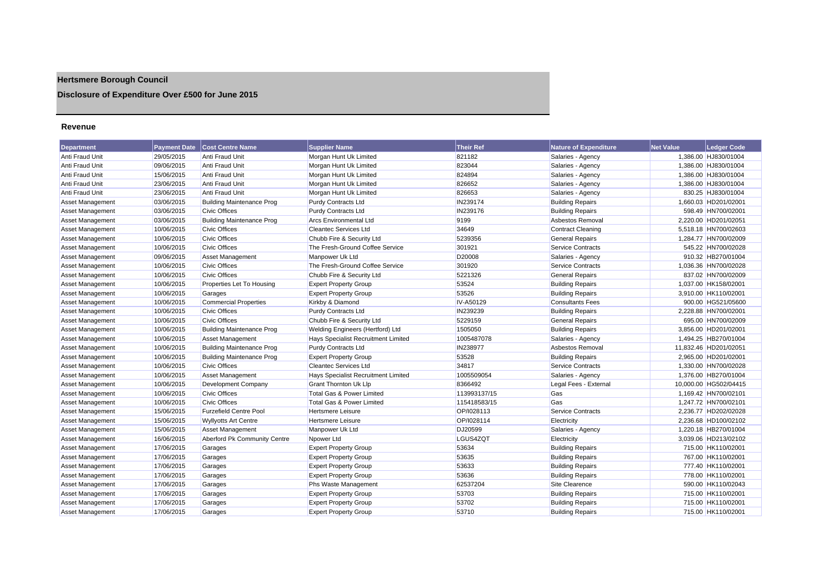# **Hertsmere Borough Council**

**Disclosure of Expenditure Over £500 for June 2015**

### **Revenue**

| Department             | <b>Payment Date</b> | <b>Cost Centre Name</b>          | <b>Supplier Name</b>                 | <b>Their Ref</b> | <b>Nature of Expenditure</b> | <b>Net Value</b> | <b>Ledger Code</b>    |
|------------------------|---------------------|----------------------------------|--------------------------------------|------------------|------------------------------|------------------|-----------------------|
| Anti Fraud Unit        | 29/05/2015          | Anti Fraud Unit                  | Morgan Hunt Uk Limited               | 821182           | Salaries - Agency            |                  | 1,386.00 HJ830/01004  |
| <b>Anti Fraud Unit</b> | 09/06/2015          | Anti Fraud Unit                  | Morgan Hunt Uk Limited               | 823044           | Salaries - Agency            |                  | 1,386.00 HJ830/01004  |
| Anti Fraud Unit        | 15/06/2015          | Anti Fraud Unit                  | Morgan Hunt Uk Limited               | 824894           | Salaries - Agency            |                  | 1,386.00 HJ830/01004  |
| Anti Fraud Unit        | 23/06/2015          | Anti Fraud Unit                  | Morgan Hunt Uk Limited               | 826652           | Salaries - Agency            |                  | 1,386.00 HJ830/01004  |
| Anti Fraud Unit        | 23/06/2015          | Anti Fraud Unit                  | Morgan Hunt Uk Limited               | 826653           | Salaries - Agency            |                  | 830.25 HJ830/01004    |
| Asset Management       | 03/06/2015          | <b>Building Maintenance Prog</b> | <b>Purdy Contracts Ltd</b>           | IN239174         | <b>Building Repairs</b>      |                  | 1.660.03 HD201/02001  |
| Asset Management       | 03/06/2015          | Civic Offices                    | <b>Purdy Contracts Ltd</b>           | IN239176         | <b>Building Repairs</b>      |                  | 598.49 HN700/02001    |
| Asset Management       | 03/06/2015          | <b>Building Maintenance Prog</b> | <b>Arcs Environmental Ltd</b>        | 9199             | Asbestos Removal             |                  | 2,220.00 HD201/02051  |
| Asset Management       | 10/06/2015          | <b>Civic Offices</b>             | <b>Cleantec Services Ltd</b>         | 34649            | <b>Contract Cleaning</b>     |                  | 5,518.18 HN700/02603  |
| Asset Management       | 10/06/2015          | <b>Civic Offices</b>             | Chubb Fire & Security Ltd            | 5239356          | <b>General Repairs</b>       |                  | 1,284.77 HN700/02009  |
| Asset Management       | 10/06/2015          | <b>Civic Offices</b>             | The Fresh-Ground Coffee Service      | 301921           | <b>Service Contracts</b>     |                  | 545.22 HN700/02028    |
| Asset Management       | 09/06/2015          | <b>Asset Management</b>          | Manpower Uk Ltd                      | D20008           | Salaries - Agency            |                  | 910.32 HB270/01004    |
| Asset Management       | 10/06/2015          | <b>Civic Offices</b>             | The Fresh-Ground Coffee Service      | 301920           | <b>Service Contracts</b>     |                  | 1,036.36 HN700/02028  |
| Asset Management       | 10/06/2015          | <b>Civic Offices</b>             | Chubb Fire & Security Ltd            | 5221326          | <b>General Repairs</b>       |                  | 837.02 HN700/02009    |
| Asset Management       | 10/06/2015          | Properties Let To Housing        | <b>Expert Property Group</b>         | 53524            | <b>Building Repairs</b>      |                  | 1,037.00 HK158/02001  |
| Asset Management       | 10/06/2015          | Garages                          | <b>Expert Property Group</b>         | 53526            | <b>Building Repairs</b>      |                  | 3,910.00 HK110/02001  |
| Asset Management       | 10/06/2015          | <b>Commercial Properties</b>     | Kirkby & Diamond                     | IV-A50129        | <b>Consultants Fees</b>      |                  | 900.00 HG521/05600    |
| Asset Management       | 10/06/2015          | <b>Civic Offices</b>             | Purdy Contracts Ltd                  | IN239239         | <b>Building Repairs</b>      |                  | 2,228.88 HN700/02001  |
| Asset Management       | 10/06/2015          | <b>Civic Offices</b>             | Chubb Fire & Security Ltd            | 5229159          | <b>General Repairs</b>       |                  | 695.00 HN700/02009    |
| Asset Management       | 10/06/2015          | <b>Building Maintenance Prog</b> | Welding Engineers (Hertford) Ltd     | 1505050          | <b>Building Repairs</b>      |                  | 3,856.00 HD201/02001  |
| Asset Management       | 10/06/2015          | Asset Management                 | Hays Specialist Recruitment Limited  | 1005487078       | Salaries - Agency            |                  | 1,494.25 HB270/01004  |
| Asset Management       | 10/06/2015          | <b>Building Maintenance Prog</b> | Purdy Contracts Ltd                  | IN238977         | Asbestos Removal             |                  | 11,832.46 HD201/02051 |
| Asset Management       | 10/06/2015          | <b>Building Maintenance Prog</b> | <b>Expert Property Group</b>         | 53528            | <b>Building Repairs</b>      |                  | 2,965.00 HD201/02001  |
| Asset Management       | 10/06/2015          | <b>Civic Offices</b>             | <b>Cleantec Services Ltd</b>         | 34817            | <b>Service Contracts</b>     |                  | 1,330.00 HN700/02028  |
| Asset Management       | 10/06/2015          | <b>Asset Management</b>          | Hays Specialist Recruitment Limited  | 1005509054       | Salaries - Agency            |                  | 1,376.00 HB270/01004  |
| Asset Management       | 10/06/2015          | Development Company              | <b>Grant Thornton Uk Llp</b>         | 8366492          | Legal Fees - External        |                  | 10,000.00 HG502/04415 |
| Asset Management       | 10/06/2015          | <b>Civic Offices</b>             | Total Gas & Power Limited            | 113993137/15     | Gas                          |                  | 1,169.42 HN700/02101  |
| Asset Management       | 10/06/2015          | <b>Civic Offices</b>             | <b>Total Gas &amp; Power Limited</b> | 115418583/15     | Gas                          |                  | 1,247.72 HN700/02101  |
| Asset Management       | 15/06/2015          | <b>Furzefield Centre Pool</b>    | Hertsmere Leisure                    | OP/I028113       | <b>Service Contracts</b>     |                  | 2,236.77 HD202/02028  |
| Asset Management       | 15/06/2015          | <b>Wyllyotts Art Centre</b>      | <b>Hertsmere Leisure</b>             | OP/I028114       | Electricity                  |                  | 2,236.68 HD100/02102  |
| Asset Management       | 15/06/2015          | Asset Management                 | Manpower Uk Ltd                      | DJ20599          | Salaries - Agency            |                  | 1,220.18 HB270/01004  |
| Asset Management       | 16/06/2015          | Aberford Pk Community Centre     | Npower Ltd                           | LGUS4ZQT         | Electricity                  |                  | 3,039.06 HD213/02102  |
| Asset Management       | 17/06/2015          | Garages                          | <b>Expert Property Group</b>         | 53634            | <b>Building Repairs</b>      |                  | 715.00 HK110/02001    |
| Asset Management       | 17/06/2015          | Garages                          | <b>Expert Property Group</b>         | 53635            | <b>Building Repairs</b>      |                  | 767.00 HK110/02001    |
| Asset Management       | 17/06/2015          | Garages                          | <b>Expert Property Group</b>         | 53633            | <b>Building Repairs</b>      |                  | 777.40 HK110/02001    |
| Asset Management       | 17/06/2015          | Garages                          | <b>Expert Property Group</b>         | 53636            | <b>Building Repairs</b>      |                  | 778.00 HK110/02001    |
| Asset Management       | 17/06/2015          | Garages                          | Phs Waste Management                 | 62537204         | Site Clearence               |                  | 590.00 HK110/02043    |
| Asset Management       | 17/06/2015          | Garages                          | <b>Expert Property Group</b>         | 53703            | <b>Building Repairs</b>      |                  | 715.00 HK110/02001    |
| Asset Management       | 17/06/2015          | Garages                          | <b>Expert Property Group</b>         | 53702            | <b>Building Repairs</b>      |                  | 715.00 HK110/02001    |
| Asset Management       | 17/06/2015          | Garages                          | <b>Expert Property Group</b>         | 53710            | <b>Building Repairs</b>      |                  | 715.00 HK110/02001    |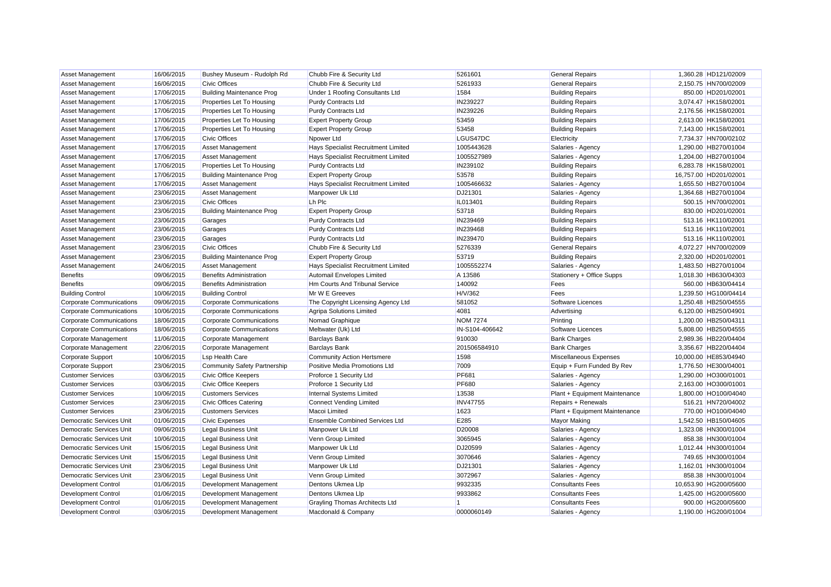| Asset Management                                                   | 16/06/2015 | Bushey Museum - Rudolph Rd          | Chubb Fire & Security Ltd             | 5261601                   | <b>General Repairs</b>                       | 1,360.28 HD121/02009  |
|--------------------------------------------------------------------|------------|-------------------------------------|---------------------------------------|---------------------------|----------------------------------------------|-----------------------|
| <b>Asset Management</b>                                            | 16/06/2015 | <b>Civic Offices</b>                | Chubb Fire & Security Ltd             | 5261933                   | <b>General Repairs</b>                       | 2,150.75 HN700/02009  |
| <b>Asset Management</b>                                            | 17/06/2015 | <b>Building Maintenance Prog</b>    | Under 1 Roofing Consultants Ltd       | 1584                      | <b>Building Repairs</b>                      | 850.00 HD201/02001    |
| Asset Management                                                   | 17/06/2015 | Properties Let To Housing           | <b>Purdy Contracts Ltd</b>            | IN239227                  | <b>Building Repairs</b>                      | 3,074.47 HK158/02001  |
| <b>Asset Management</b>                                            | 17/06/2015 | Properties Let To Housing           | <b>Purdy Contracts Ltd</b>            | IN239226                  | <b>Building Repairs</b>                      | 2,176.56 HK158/02001  |
| Asset Management                                                   | 17/06/2015 | Properties Let To Housing           | <b>Expert Property Group</b>          | 53459                     | <b>Building Repairs</b>                      | 2,613.00 HK158/02001  |
| <b>Asset Management</b>                                            | 17/06/2015 | Properties Let To Housing           | <b>Expert Property Group</b>          | 53458                     | <b>Building Repairs</b>                      | 7,143.00 HK158/02001  |
| <b>Asset Management</b>                                            | 17/06/2015 | <b>Civic Offices</b>                | Npower Ltd                            | LGUS47DC                  | Electricity                                  | 7,734.37 HN700/02102  |
| <b>Asset Management</b>                                            | 17/06/2015 | <b>Asset Management</b>             | Hays Specialist Recruitment Limited   | 1005443628                | Salaries - Agency                            | 1,290.00 HB270/01004  |
| Asset Management                                                   | 17/06/2015 | <b>Asset Management</b>             | Hays Specialist Recruitment Limited   | 1005527989                | Salaries - Agency                            | 1,204.00 HB270/01004  |
| <b>Asset Management</b>                                            | 17/06/2015 | Properties Let To Housing           | <b>Purdy Contracts Ltd</b>            | IN239102                  | <b>Building Repairs</b>                      | 6,283.78 HK158/02001  |
| <b>Asset Management</b>                                            | 17/06/2015 | <b>Building Maintenance Prog</b>    | <b>Expert Property Group</b>          | 53578                     | <b>Building Repairs</b>                      | 16,757.00 HD201/02001 |
| <b>Asset Management</b>                                            | 17/06/2015 | <b>Asset Management</b>             | Hays Specialist Recruitment Limited   | 1005466632                | Salaries - Agency                            | 1,655.50 HB270/01004  |
| Asset Management                                                   | 23/06/2015 | Asset Management                    | Manpower Uk Ltd                       | DJ21301                   | Salaries - Agency                            | 1,364.68 HB270/01004  |
| <b>Asset Management</b>                                            | 23/06/2015 | <b>Civic Offices</b>                | Lh Plc                                | IL013401                  | <b>Building Repairs</b>                      | 500.15 HN700/02001    |
| <b>Asset Management</b>                                            | 23/06/2015 | <b>Building Maintenance Prog</b>    | <b>Expert Property Group</b>          | 53718                     | <b>Building Repairs</b>                      | 830.00 HD201/02001    |
| Asset Management                                                   | 23/06/2015 | Garages                             | <b>Purdy Contracts Ltd</b>            | IN239469                  | <b>Building Repairs</b>                      | 513.16 HK110/02001    |
| Asset Management                                                   | 23/06/2015 | Garages                             | <b>Purdy Contracts Ltd</b>            | IN239468                  | <b>Building Repairs</b>                      | 513.16 HK110/02001    |
| Asset Management                                                   | 23/06/2015 | Garages                             | <b>Purdy Contracts Ltd</b>            | IN239470                  | <b>Building Repairs</b>                      | 513.16 HK110/02001    |
| Asset Management                                                   | 23/06/2015 | <b>Civic Offices</b>                | Chubb Fire & Security Ltd             | 5276339                   | <b>General Repairs</b>                       | 4,072.27 HN700/02009  |
| Asset Management                                                   | 23/06/2015 | <b>Building Maintenance Prog</b>    | <b>Expert Property Group</b>          | 53719                     | <b>Building Repairs</b>                      | 2,320.00 HD201/02001  |
| Asset Management                                                   | 24/06/2015 | <b>Asset Management</b>             | Hays Specialist Recruitment Limited   | 1005552274                | Salaries - Agency                            | 1,483.50 HB270/01004  |
| <b>Benefits</b>                                                    | 09/06/2015 | <b>Benefits Administration</b>      | Automail Envelopes Limited            | A 13586                   | Stationery + Office Supps                    | 1,018.30 HB630/04303  |
| <b>Benefits</b>                                                    | 09/06/2015 | <b>Benefits Administration</b>      | Hm Courts And Tribunal Service        | 140092                    | Fees                                         | 560.00 HB630/04414    |
| <b>Building Control</b>                                            | 10/06/2015 | <b>Building Control</b>             | Mr W E Greeves                        | H/V/362                   | Fees                                         | 1,239.50 HG100/04414  |
| <b>Corporate Communications</b>                                    | 09/06/2015 | <b>Corporate Communications</b>     | The Copyright Licensing Agency Ltd    | 581052                    | Software Licences                            | 1,250.48 HB250/04555  |
| <b>Corporate Communications</b>                                    | 10/06/2015 | <b>Corporate Communications</b>     | Agripa Solutions Limited              | 4081                      | Advertising                                  | 6,120.00 HB250/04901  |
| <b>Corporate Communications</b>                                    | 18/06/2015 | <b>Corporate Communications</b>     | Nomad Graphique                       | <b>NOM 7274</b>           | Printing                                     | 1,200.00 HB250/04311  |
| <b>Corporate Communications</b>                                    | 18/06/2015 | <b>Corporate Communications</b>     | Meltwater (Uk) Ltd                    | IN-S104-406642            | Software Licences                            | 5,808.00 HB250/04555  |
| Corporate Management                                               | 11/06/2015 | Corporate Management                | <b>Barclays Bank</b>                  | 910030                    | <b>Bank Charges</b>                          | 2,989.36 HB220/04404  |
| Corporate Management                                               | 22/06/2015 | Corporate Management                | <b>Barclays Bank</b>                  | 201506584910              | <b>Bank Charges</b>                          | 3.356.67 HB220/04404  |
| Corporate Support                                                  | 10/06/2015 | <b>Lsp Health Care</b>              | <b>Community Action Hertsmere</b>     | 1598                      | Miscellaneous Expenses                       | 10,000.00 HE853/04940 |
| Corporate Support                                                  | 23/06/2015 | <b>Community Safety Partnership</b> | Positive Media Promotions Ltd         | 7009                      | Equip + Furn Funded By Rev                   | 1,776.50 HE300/04001  |
| <b>Customer Services</b>                                           | 03/06/2015 | <b>Civic Office Keepers</b>         | Proforce 1 Security Ltd               | <b>PF681</b>              | Salaries - Agency                            | 1,290.00 HO300/01001  |
| <b>Customer Services</b>                                           | 03/06/2015 | <b>Civic Office Keepers</b>         | Proforce 1 Security Ltd               | <b>PF680</b>              | Salaries - Agency                            | 2,163.00 HO300/01001  |
| <b>Customer Services</b>                                           | 10/06/2015 | <b>Customers Services</b>           | Internal Systems Limited              | 13538                     | Plant + Equipment Maintenance                | 1,800.00 HO100/04040  |
| <b>Customer Services</b>                                           | 23/06/2015 | <b>Civic Offices Catering</b>       | <b>Connect Vending Limited</b>        | <b>INV47755</b>           | Repairs + Renewals                           | 516.21 HN720/04002    |
| <b>Customer Services</b>                                           | 23/06/2015 | <b>Customers Services</b>           | Macoi Limited                         | 1623                      | Plant + Equipment Maintenance                | 770.00 HO100/04040    |
| <b>Democratic Services Unit</b>                                    | 01/06/2015 | <b>Civic Expenses</b>               | <b>Ensemble Combined Services Ltd</b> | E285                      | <b>Mayor Making</b>                          | 1,542.50 HB150/04605  |
| Democratic Services Unit                                           | 09/06/2015 | <b>Legal Business Unit</b>          | Manpower Uk Ltd                       | D20008                    | Salaries - Agency                            | 1,323.08 HN300/01004  |
| <b>Democratic Services Unit</b><br><b>Democratic Services Unit</b> | 10/06/2015 | <b>Legal Business Unit</b>          | Venn Group Limited                    | 3065945                   | Salaries - Agency                            | 858.38 HN300/01004    |
|                                                                    | 15/06/2015 | <b>Legal Business Unit</b>          | Manpower Uk Ltd                       | DJ20599                   | Salaries - Agency                            | 1,012.44 HN300/01004  |
| <b>Democratic Services Unit</b>                                    | 15/06/2015 | <b>Legal Business Unit</b>          | Venn Group Limited                    | 3070646                   | Salaries - Agency                            | 749.65 HN300/01004    |
| Democratic Services Unit                                           | 23/06/2015 | <b>Legal Business Unit</b>          | Manpower Uk Ltd                       | DJ21301                   | Salaries - Agency                            | 1,162.01 HN300/01004  |
| Democratic Services Unit                                           | 23/06/2015 | <b>Legal Business Unit</b>          | Venn Group Limited                    | 3072967                   | Salaries - Agency<br><b>Consultants Fees</b> | 858.38 HN300/01004    |
| <b>Development Control</b>                                         | 01/06/2015 | Development Management              | Dentons Ukmea Llp                     | 9932335                   |                                              | 10,653.90 HG200/05600 |
| <b>Development Control</b>                                         | 01/06/2015 | Development Management              | Dentons Ukmea Llp                     | 9933862<br>$\overline{1}$ | <b>Consultants Fees</b>                      | 1,425.00 HG200/05600  |
| <b>Development Control</b>                                         | 01/06/2015 | Development Management              | Grayling Thomas Architects Ltd        | 0000060149                | <b>Consultants Fees</b>                      | 900.00 HG200/05600    |
| <b>Development Control</b>                                         | 03/06/2015 | Development Management              | Macdonald & Company                   |                           | Salaries - Agency                            | 1,190.00 HG200/01004  |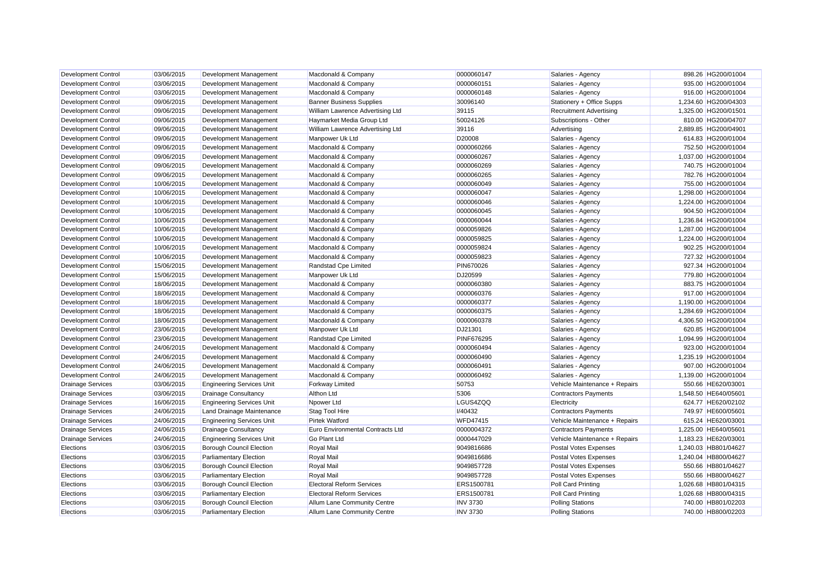| Development Control        | 03/06/2015 | Development Management           | Macdonald & Company              | 0000060147      | Salaries - Agency              | 898.26 HG200/01004   |
|----------------------------|------------|----------------------------------|----------------------------------|-----------------|--------------------------------|----------------------|
| <b>Development Control</b> | 03/06/2015 | Development Management           | Macdonald & Company              | 0000060151      | Salaries - Agency              | 935.00 HG200/01004   |
| <b>Development Control</b> | 03/06/2015 | Development Management           | Macdonald & Company              | 0000060148      | Salaries - Agency              | 916.00 HG200/01004   |
| <b>Development Control</b> | 09/06/2015 | Development Management           | <b>Banner Business Supplies</b>  | 30096140        | Stationery + Office Supps      | 1,234.60 HG200/04303 |
| <b>Development Control</b> | 09/06/2015 | Development Management           | William Lawrence Advertising Ltd | 39115           | <b>Recruitment Advertising</b> | 1,325.00 HG200/01501 |
| <b>Development Control</b> | 09/06/2015 | Development Management           | Haymarket Media Group Ltd        | 50024126        | Subscriptions - Other          | 810.00 HG200/04707   |
| <b>Development Control</b> | 09/06/2015 | Development Management           | William Lawrence Advertising Ltd | 39116           | Advertising                    | 2,889.85 HG200/04901 |
| <b>Development Control</b> | 09/06/2015 | Development Management           | Manpower Uk Ltd                  | D20008          | Salaries - Agency              | 614.83 HG200/01004   |
| <b>Development Control</b> | 09/06/2015 | Development Management           | Macdonald & Company              | 0000060266      | Salaries - Agency              | 752.50 HG200/01004   |
| <b>Development Control</b> | 09/06/2015 | Development Management           | Macdonald & Company              | 0000060267      | Salaries - Agency              | 1,037.00 HG200/01004 |
| <b>Development Control</b> | 09/06/2015 | Development Management           | Macdonald & Company              | 0000060269      | Salaries - Agency              | 740.75 HG200/01004   |
| <b>Development Control</b> | 09/06/2015 | Development Management           | Macdonald & Company              | 0000060265      | Salaries - Agency              | 782.76 HG200/01004   |
| <b>Development Control</b> | 10/06/2015 | Development Management           | Macdonald & Company              | 0000060049      | Salaries - Agency              | 755.00 HG200/01004   |
| <b>Development Control</b> | 10/06/2015 | Development Management           | Macdonald & Company              | 0000060047      | Salaries - Agency              | 1,298.00 HG200/01004 |
| <b>Development Control</b> | 10/06/2015 | Development Management           | Macdonald & Company              | 0000060046      | Salaries - Agency              | 1,224.00 HG200/01004 |
| <b>Development Control</b> | 10/06/2015 | Development Management           | Macdonald & Company              | 0000060045      | Salaries - Agency              | 904.50 HG200/01004   |
| <b>Development Control</b> | 10/06/2015 | Development Management           | Macdonald & Company              | 0000060044      | Salaries - Agency              | 1,236.84 HG200/01004 |
| <b>Development Control</b> | 10/06/2015 | Development Management           | Macdonald & Company              | 0000059826      | Salaries - Agency              | 1,287.00 HG200/01004 |
| <b>Development Control</b> | 10/06/2015 | Development Management           | Macdonald & Company              | 0000059825      | Salaries - Agency              | 1.224.00 HG200/01004 |
| <b>Development Control</b> | 10/06/2015 | Development Management           | Macdonald & Company              | 0000059824      | Salaries - Agency              | 902.25 HG200/01004   |
| <b>Development Control</b> | 10/06/2015 | Development Management           | Macdonald & Company              | 0000059823      | Salaries - Agency              | 727.32 HG200/01004   |
| <b>Development Control</b> | 15/06/2015 | Development Management           | Randstad Cpe Limited             | PIN670026       | Salaries - Agency              | 927.34 HG200/01004   |
| Development Control        | 15/06/2015 | Development Management           | Manpower Uk Ltd                  | DJ20599         | Salaries - Agency              | 779.80 HG200/01004   |
| <b>Development Control</b> | 18/06/2015 | Development Management           | Macdonald & Company              | 0000060380      | Salaries - Agency              | 883.75 HG200/01004   |
| Development Control        | 18/06/2015 | Development Management           | Macdonald & Company              | 0000060376      | Salaries - Agency              | 917.00 HG200/01004   |
| <b>Development Control</b> | 18/06/2015 | Development Management           | Macdonald & Company              | 0000060377      | Salaries - Agency              | 1,190.00 HG200/01004 |
| Development Control        | 18/06/2015 | Development Management           | Macdonald & Company              | 0000060375      | Salaries - Agency              | 1,284.69 HG200/01004 |
| <b>Development Control</b> | 18/06/2015 | Development Management           | Macdonald & Company              | 0000060378      | Salaries - Agency              | 4,306.50 HG200/01004 |
| <b>Development Control</b> | 23/06/2015 | Development Management           | Manpower Uk Ltd                  | DJ21301         | Salaries - Agency              | 620.85 HG200/01004   |
| <b>Development Control</b> | 23/06/2015 | Development Management           | Randstad Cpe Limited             | PINF676295      | Salaries - Agency              | 1,094.99 HG200/01004 |
| <b>Development Control</b> | 24/06/2015 | Development Management           | Macdonald & Company              | 0000060494      | Salaries - Agency              | 923.00 HG200/01004   |
| <b>Development Control</b> | 24/06/2015 | Development Management           | Macdonald & Company              | 0000060490      | Salaries - Agency              | 1,235.19 HG200/01004 |
| <b>Development Control</b> | 24/06/2015 | Development Management           | Macdonald & Company              | 0000060491      | Salaries - Agency              | 907.00 HG200/01004   |
| <b>Development Control</b> | 24/06/2015 | Development Management           | Macdonald & Company              | 0000060492      | Salaries - Agency              | 1,139.00 HG200/01004 |
| <b>Drainage Services</b>   | 03/06/2015 | <b>Engineering Services Unit</b> | <b>Forkway Limited</b>           | 50753           | Vehicle Maintenance + Repairs  | 550.66 HE620/03001   |
| <b>Drainage Services</b>   | 03/06/2015 | <b>Drainage Consultancy</b>      | <b>Althon Ltd</b>                | 5306            | <b>Contractors Payments</b>    | 1,548.50 HE640/05601 |
| <b>Drainage Services</b>   | 16/06/2015 | <b>Engineering Services Unit</b> | Npower Ltd                       | LGUS4ZQQ        | Electricity                    | 624.77 HE620/02102   |
| <b>Drainage Services</b>   | 24/06/2015 | Land Drainage Maintenance        | Stag Tool Hire                   | <b>I/40432</b>  | <b>Contractors Payments</b>    | 749.97 HE600/05601   |
| <b>Drainage Services</b>   | 24/06/2015 | <b>Engineering Services Unit</b> | <b>Pirtek Watford</b>            | WFD47415        | Vehicle Maintenance + Repairs  | 615.24 HE620/03001   |
| <b>Drainage Services</b>   | 24/06/2015 | <b>Drainage Consultancy</b>      | Euro Environmental Contracts Ltd | 0000004372      | <b>Contractors Payments</b>    | 1,225.00 HE640/05601 |
| <b>Drainage Services</b>   | 24/06/2015 | <b>Engineering Services Unit</b> | <b>Go Plant Ltd</b>              | 0000447029      | Vehicle Maintenance + Repairs  | 1,183.23 HE620/03001 |
| Elections                  | 03/06/2015 | <b>Borough Council Election</b>  | <b>Royal Mail</b>                | 9049816686      | <b>Postal Votes Expenses</b>   | 1.240.03 HB801/04627 |
| Elections                  | 03/06/2015 | <b>Parliamentary Election</b>    | <b>Royal Mail</b>                | 9049816686      | Postal Votes Expenses          | 1,240.04 HB800/04627 |
| Elections                  | 03/06/2015 | <b>Borough Council Election</b>  | Royal Mail                       | 9049857728      | Postal Votes Expenses          | 550.66 HB801/04627   |
| Elections                  | 03/06/2015 | <b>Parliamentary Election</b>    | <b>Royal Mail</b>                | 9049857728      | <b>Postal Votes Expenses</b>   | 550.66 HB800/04627   |
| Elections                  | 03/06/2015 | Borough Council Election         | <b>Electoral Reform Services</b> | ERS1500781      | Poll Card Printing             | 1,026.68 HB801/04315 |
| Elections                  | 03/06/2015 | <b>Parliamentary Election</b>    | <b>Electoral Reform Services</b> | ERS1500781      | Poll Card Printing             | 1,026.68 HB800/04315 |
| Elections                  | 03/06/2015 | <b>Borough Council Election</b>  | Allum Lane Community Centre      | <b>INV 3730</b> | <b>Polling Stations</b>        | 740.00 HB801/02203   |
| Elections                  | 03/06/2015 | <b>Parliamentary Election</b>    | Allum Lane Community Centre      | <b>INV 3730</b> | <b>Polling Stations</b>        | 740.00 HB800/02203   |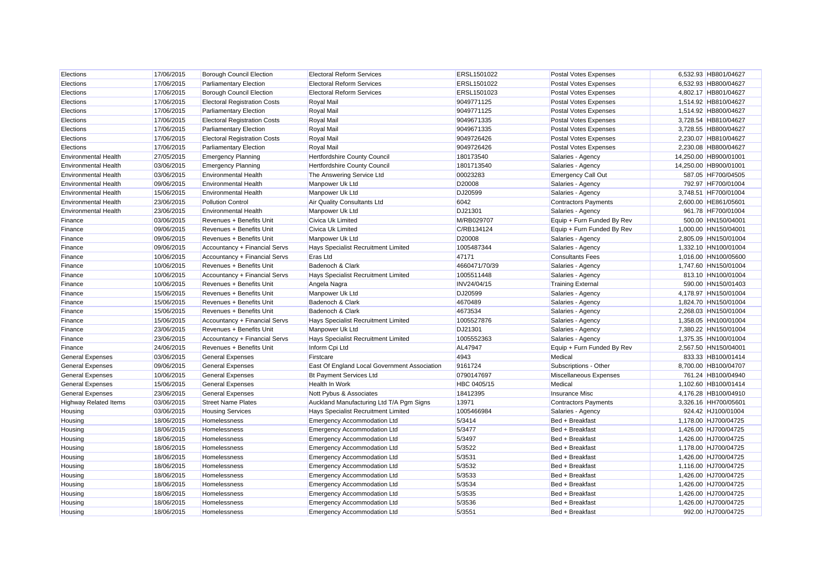| Elections                    | 17/06/2015 | <b>Borough Council Election</b>     | <b>Electoral Reform Services</b>             | ERSL1501022   | Postal Votes Expenses        | 6,532.93 HB801/04627  |
|------------------------------|------------|-------------------------------------|----------------------------------------------|---------------|------------------------------|-----------------------|
| Elections                    | 17/06/2015 | <b>Parliamentary Election</b>       | <b>Electoral Reform Services</b>             | ERSL1501022   | Postal Votes Expenses        | 6,532.93 HB800/04627  |
| Elections                    | 17/06/2015 | <b>Borough Council Election</b>     | <b>Electoral Reform Services</b>             | ERSL1501023   | <b>Postal Votes Expenses</b> | 4,802.17 HB801/04627  |
| Elections                    | 17/06/2015 | <b>Electoral Registration Costs</b> | <b>Royal Mail</b>                            | 9049771125    | Postal Votes Expenses        | 1,514.92 HB810/04627  |
| Elections                    | 17/06/2015 | <b>Parliamentary Election</b>       | <b>Royal Mail</b>                            | 9049771125    | Postal Votes Expenses        | 1,514.92 HB800/04627  |
| Elections                    | 17/06/2015 | <b>Electoral Registration Costs</b> | <b>Royal Mail</b>                            | 9049671335    | Postal Votes Expenses        | 3,728.54 HB810/04627  |
| Elections                    | 17/06/2015 | <b>Parliamentary Election</b>       | <b>Royal Mail</b>                            | 9049671335    | <b>Postal Votes Expenses</b> | 3,728.55 HB800/04627  |
| Elections                    | 17/06/2015 | <b>Electoral Registration Costs</b> | <b>Royal Mail</b>                            | 9049726426    | Postal Votes Expenses        | 2,230.07 HB810/04627  |
| Elections                    | 17/06/2015 | <b>Parliamentary Election</b>       | <b>Royal Mail</b>                            | 9049726426    | Postal Votes Expenses        | 2,230.08 HB800/04627  |
| <b>Environmental Health</b>  | 27/05/2015 | <b>Emergency Planning</b>           | <b>Hertfordshire County Council</b>          | 180173540     | Salaries - Agency            | 14,250.00 HB900/01001 |
| <b>Environmental Health</b>  | 03/06/2015 | <b>Emergency Planning</b>           | Hertfordshire County Council                 | 1801713540    | Salaries - Agency            | 14,250.00 HB900/01001 |
| <b>Environmental Health</b>  | 03/06/2015 | <b>Environmental Health</b>         | The Answering Service Ltd                    | 00023283      | <b>Emergency Call Out</b>    | 587.05 HF700/04505    |
| <b>Environmental Health</b>  | 09/06/2015 | <b>Environmental Health</b>         | Manpower Uk Ltd                              | D20008        | Salaries - Agency            | 792.97 HF700/01004    |
| <b>Environmental Health</b>  | 15/06/2015 | <b>Environmental Health</b>         | Manpower Uk Ltd                              | DJ20599       | Salaries - Agency            | 3,748.51 HF700/01004  |
| <b>Environmental Health</b>  | 23/06/2015 | <b>Pollution Control</b>            | Air Quality Consultants Ltd                  | 6042          | <b>Contractors Payments</b>  | 2,600.00 HE861/05601  |
| <b>Environmental Health</b>  | 23/06/2015 | <b>Environmental Health</b>         | Manpower Uk Ltd                              | DJ21301       | Salaries - Agency            | 961.78 HF700/01004    |
| Finance                      | 03/06/2015 | Revenues + Benefits Unit            | Civica Uk Limited                            | M/RB029707    | Equip + Furn Funded By Rev   | 500.00 HN150/04001    |
| Finance                      | 09/06/2015 | Revenues + Benefits Unit            | Civica Uk Limited                            | C/RB134124    | Equip + Furn Funded By Rev   | 1,000.00 HN150/04001  |
| Finance                      | 09/06/2015 | Revenues + Benefits Unit            | Manpower Uk Ltd                              | D20008        | Salaries - Agency            | 2,805.09 HN150/01004  |
| Finance                      | 09/06/2015 | Accountancy + Financial Servs       | Hays Specialist Recruitment Limited          | 1005487344    | Salaries - Agency            | 1,332.10 HN100/01004  |
| Finance                      | 10/06/2015 | Accountancy + Financial Servs       | <b>Eras Ltd</b>                              | 47171         | <b>Consultants Fees</b>      | 1,016.00 HN100/05600  |
| Finance                      | 10/06/2015 | Revenues + Benefits Unit            | Badenoch & Clark                             | 4660471/70/39 | Salaries - Agency            | 1,747.60 HN150/01004  |
| Finance                      | 10/06/2015 | Accountancy + Financial Servs       | Hays Specialist Recruitment Limited          | 1005511448    | Salaries - Agency            | 813.10 HN100/01004    |
| Finance                      | 10/06/2015 | Revenues + Benefits Unit            | Angela Nagra                                 | INV24/04/15   | <b>Training External</b>     | 590.00 HN150/01403    |
| Finance                      | 15/06/2015 | Revenues + Benefits Unit            | Manpower Uk Ltd                              | DJ20599       | Salaries - Agency            | 4,178.97 HN150/01004  |
| Finance                      | 15/06/2015 | Revenues + Benefits Unit            | Badenoch & Clark                             | 4670489       | Salaries - Agency            | 1,824.70 HN150/01004  |
| Finance                      | 15/06/2015 | Revenues + Benefits Unit            | Badenoch & Clark                             | 4673534       | Salaries - Agency            | 2,268.03 HN150/01004  |
| Finance                      | 15/06/2015 | Accountancy + Financial Servs       | Hays Specialist Recruitment Limited          | 1005527876    | Salaries - Agency            | 1.358.05 HN100/01004  |
| Finance                      | 23/06/2015 | Revenues + Benefits Unit            | Manpower Uk Ltd                              | DJ21301       | Salaries - Agency            | 7,380.22 HN150/01004  |
| Finance                      | 23/06/2015 | Accountancy + Financial Servs       | Hays Specialist Recruitment Limited          | 1005552363    | Salaries - Agency            | 1,375.35 HN100/01004  |
| Finance                      | 24/06/2015 | Revenues + Benefits Unit            | Inform Cpi Ltd                               | AL47947       | Equip + Furn Funded By Rev   | 2.567.50 HN150/04001  |
| <b>General Expenses</b>      | 03/06/2015 | <b>General Expenses</b>             | Firstcare                                    | 4943          | Medical                      | 833.33 HB100/01414    |
| <b>General Expenses</b>      | 09/06/2015 | <b>General Expenses</b>             | East Of England Local Government Association | 9161724       | Subscriptions - Other        | 8,700.00 HB100/04707  |
| <b>General Expenses</b>      | 10/06/2015 | <b>General Expenses</b>             | <b>Bt Payment Services Ltd</b>               | 0790147697    | Miscellaneous Expenses       | 761.24 HB100/04940    |
| <b>General Expenses</b>      | 15/06/2015 | <b>General Expenses</b>             | Health In Work                               | HBC 0405/15   | Medical                      | 1,102.60 HB100/01414  |
| <b>General Expenses</b>      | 23/06/2015 | <b>General Expenses</b>             | Nott Pybus & Associates                      | 18412395      | <b>Insurance Misc</b>        | 4,176.28 HB100/04910  |
| <b>Highway Related Items</b> | 03/06/2015 | <b>Street Name Plates</b>           | Auckland Manufacturing Ltd T/A Pgm Signs     | 13971         | <b>Contractors Payments</b>  | 3,326.16 HH700/05601  |
| Housing                      | 03/06/2015 | <b>Housing Services</b>             | Hays Specialist Recruitment Limited          | 1005466984    | Salaries - Agency            | 924.42 HJ100/01004    |
| Housing                      | 18/06/2015 | Homelessness                        | <b>Emergency Accommodation Ltd</b>           | 5/3414        | Bed + Breakfast              | 1,178.00 HJ700/04725  |
| Housing                      | 18/06/2015 | Homelessness                        | <b>Emergency Accommodation Ltd</b>           | 5/3477        | Bed + Breakfast              | 1,426.00 HJ700/04725  |
| Housing                      | 18/06/2015 | Homelessness                        | <b>Emergency Accommodation Ltd</b>           | 5/3497        | Bed + Breakfast              | 1,426.00 HJ700/04725  |
| Housing                      | 18/06/2015 | Homelessness                        | <b>Emergency Accommodation Ltd</b>           | 5/3522        | Bed + Breakfast              | 1,178.00 HJ700/04725  |
| Housing                      | 18/06/2015 | Homelessness                        | <b>Emergency Accommodation Ltd</b>           | 5/3531        | Bed + Breakfast              | 1,426.00 HJ700/04725  |
| Housing                      | 18/06/2015 | Homelessness                        | <b>Emergency Accommodation Ltd</b>           | 5/3532        | Bed + Breakfast              | 1,116.00 HJ700/04725  |
| Housing                      | 18/06/2015 | Homelessness                        | <b>Emergency Accommodation Ltd</b>           | 5/3533        | Bed + Breakfast              | 1,426.00 HJ700/04725  |
| Housing                      | 18/06/2015 | Homelessness                        | <b>Emergency Accommodation Ltd</b>           | 5/3534        | Bed + Breakfast              | 1,426.00 HJ700/04725  |
| Housing                      | 18/06/2015 | Homelessness                        | <b>Emergency Accommodation Ltd</b>           | 5/3535        | Bed + Breakfast              | 1,426.00 HJ700/04725  |
| Housing                      | 18/06/2015 | Homelessness                        | <b>Emergency Accommodation Ltd</b>           | 5/3536        | Bed + Breakfast              | 1,426.00 HJ700/04725  |
| Housing                      | 18/06/2015 | Homelessness                        | <b>Emergency Accommodation Ltd</b>           | 5/3551        | Bed + Breakfast              | 992.00 HJ700/04725    |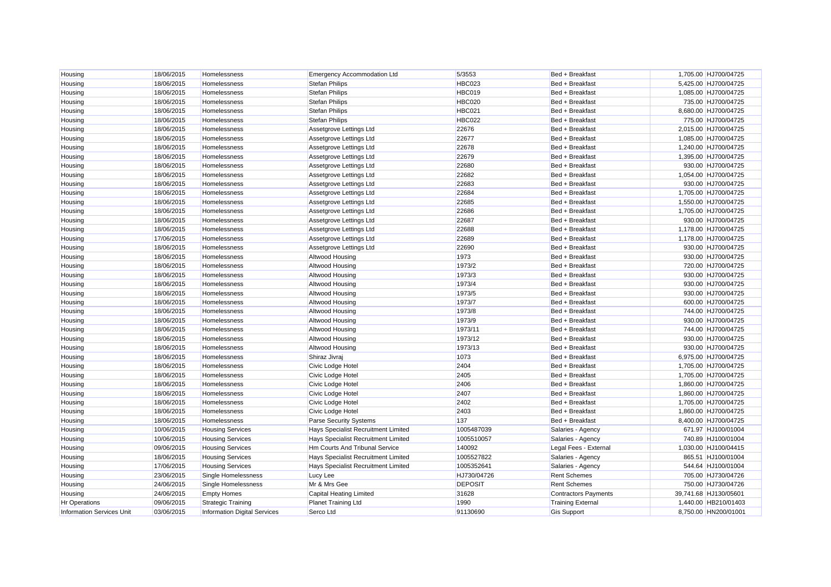| Housing                          | 18/06/2015 | Homelessness                        | <b>Emergency Accommodation Ltd</b>  | 5/3553         | Bed + Breakfast             | 1,705.00 HJ700/04725  |
|----------------------------------|------------|-------------------------------------|-------------------------------------|----------------|-----------------------------|-----------------------|
| Housing                          | 18/06/2015 | Homelessness                        | <b>Stefan Philips</b>               | <b>HBC023</b>  | Bed + Breakfast             | 5,425.00 HJ700/04725  |
| Housing                          | 18/06/2015 | Homelessness                        | <b>Stefan Philips</b>               | HBC019         | Bed + Breakfast             | 1,085.00 HJ700/04725  |
| Housing                          | 18/06/2015 | Homelessness                        | <b>Stefan Philips</b>               | <b>HBC020</b>  | Bed + Breakfast             | 735.00 HJ700/04725    |
| Housing                          | 18/06/2015 | Homelessness                        | <b>Stefan Philips</b>               | <b>HBC021</b>  | Bed + Breakfast             | 8,680.00 HJ700/04725  |
| Housing                          | 18/06/2015 | Homelessness                        | <b>Stefan Philips</b>               | <b>HBC022</b>  | Bed + Breakfast             | 775.00 HJ700/04725    |
| Housing                          | 18/06/2015 | Homelessness                        | Assetgrove Lettings Ltd             | 22676          | Bed + Breakfast             | 2,015.00 HJ700/04725  |
| Housing                          | 18/06/2015 | Homelessness                        | Assetgrove Lettings Ltd             | 22677          | Bed + Breakfast             | 1,085.00 HJ700/04725  |
| Housing                          | 18/06/2015 | Homelessness                        | Assetgrove Lettings Ltd             | 22678          | Bed + Breakfast             | 1,240.00 HJ700/04725  |
| Housing                          | 18/06/2015 | Homelessness                        | Assetgrove Lettings Ltd             | 22679          | Bed + Breakfast             | 1,395.00 HJ700/04725  |
| Housing                          | 18/06/2015 | <b>Homelessness</b>                 | Assetgrove Lettings Ltd             | 22680          | Bed + Breakfast             | 930.00 HJ700/04725    |
| Housing                          | 18/06/2015 | Homelessness                        | Assetgrove Lettings Ltd             | 22682          | Bed + Breakfast             | 1,054.00 HJ700/04725  |
| Housing                          | 18/06/2015 | Homelessness                        | Assetgrove Lettings Ltd             | 22683          | Bed + Breakfast             | 930.00 HJ700/04725    |
| Housing                          | 18/06/2015 | Homelessness                        | Assetgrove Lettings Ltd             | 22684          | Bed + Breakfast             | 1,705.00 HJ700/04725  |
| Housing                          | 18/06/2015 | Homelessness                        | Assetgrove Lettings Ltd             | 22685          | Bed + Breakfast             | 1,550.00 HJ700/04725  |
| Housing                          | 18/06/2015 | Homelessness                        | Assetgrove Lettings Ltd             | 22686          | Bed + Breakfast             | 1,705.00 HJ700/04725  |
| Housing                          | 18/06/2015 | Homelessness                        | Assetgrove Lettings Ltd             | 22687          | Bed + Breakfast             | 930.00 HJ700/04725    |
| Housing                          | 18/06/2015 | Homelessness                        | Assetgrove Lettings Ltd             | 22688          | Bed + Breakfast             | 1,178.00 HJ700/04725  |
| Housing                          | 17/06/2015 | Homelessness                        | Assetgrove Lettings Ltd             | 22689          | Bed + Breakfast             | 1,178.00 HJ700/04725  |
| Housing                          | 18/06/2015 | Homelessness                        | Assetgrove Lettings Ltd             | 22690          | Bed + Breakfast             | 930.00 HJ700/04725    |
| Housing                          | 18/06/2015 | Homelessness                        | Altwood Housing                     | 1973           | Bed + Breakfast             | 930.00 HJ700/04725    |
| Housing                          | 18/06/2015 | Homelessness                        | Altwood Housing                     | 1973/2         | Bed + Breakfast             | 720.00 HJ700/04725    |
| Housing                          | 18/06/2015 | Homelessness                        | <b>Altwood Housing</b>              | 1973/3         | Bed + Breakfast             | 930.00 HJ700/04725    |
| Housing                          | 18/06/2015 | Homelessness                        | Altwood Housing                     | 1973/4         | Bed + Breakfast             | 930.00 HJ700/04725    |
| Housing                          | 18/06/2015 | Homelessness                        | Altwood Housing                     | 1973/5         | Bed + Breakfast             | 930.00 HJ700/04725    |
| Housing                          | 18/06/2015 | Homelessness                        | Altwood Housing                     | 1973/7         | Bed + Breakfast             | 600.00 HJ700/04725    |
| Housing                          | 18/06/2015 | Homelessness                        | Altwood Housing                     | 1973/8         | Bed + Breakfast             | 744.00 HJ700/04725    |
| Housing                          | 18/06/2015 | Homelessness                        | Altwood Housing                     | 1973/9         | Bed + Breakfast             | 930.00 HJ700/04725    |
| Housing                          | 18/06/2015 | Homelessness                        | Altwood Housing                     | 1973/11        | Bed + Breakfast             | 744.00 HJ700/04725    |
| Housing                          | 18/06/2015 | Homelessness                        | Altwood Housing                     | 1973/12        | Bed + Breakfast             | 930.00 HJ700/04725    |
| Housing                          | 18/06/2015 | Homelessness                        | Altwood Housing                     | 1973/13        | Bed + Breakfast             | 930.00 HJ700/04725    |
| Housing                          | 18/06/2015 | Homelessness                        | Shiraz Jivraj                       | 1073           | Bed + Breakfast             | 6,975.00 HJ700/04725  |
| Housing                          | 18/06/2015 | Homelessness                        | Civic Lodge Hotel                   | 2404           | Bed + Breakfast             | 1,705.00 HJ700/04725  |
| Housing                          | 18/06/2015 | Homelessness                        | Civic Lodge Hotel                   | 2405           | Bed + Breakfast             | 1,705.00 HJ700/04725  |
| Housing                          | 18/06/2015 | Homelessness                        | Civic Lodge Hotel                   | 2406           | Bed + Breakfast             | 1,860.00 HJ700/04725  |
| Housing                          | 18/06/2015 | Homelessness                        | Civic Lodge Hotel                   | 2407           | Bed + Breakfast             | 1,860.00 HJ700/04725  |
| Housing                          | 18/06/2015 | Homelessness                        | Civic Lodge Hotel                   | 2402           | Bed + Breakfast             | 1,705.00 HJ700/04725  |
| Housing                          | 18/06/2015 | Homelessness                        | Civic Lodge Hotel                   | 2403           | Bed + Breakfast             | 1,860.00 HJ700/04725  |
| Housing                          | 18/06/2015 | Homelessness                        | <b>Parse Security Systems</b>       | 137            | Bed + Breakfast             | 8,400.00 HJ700/04725  |
| Housing                          | 10/06/2015 | <b>Housing Services</b>             | Hays Specialist Recruitment Limited | 1005487039     | Salaries - Agency           | 671.97 HJ100/01004    |
| Housing                          | 10/06/2015 | <b>Housing Services</b>             | Hays Specialist Recruitment Limited | 1005510057     | Salaries - Agency           | 740.89 HJ100/01004    |
| Housing                          | 09/06/2015 | <b>Housing Services</b>             | Hm Courts And Tribunal Service      | 140092         | Legal Fees - External       | 1,030.00 HJ100/04415  |
| Housing                          | 18/06/2015 | <b>Housing Services</b>             | Hays Specialist Recruitment Limited | 1005527822     | Salaries - Agency           | 865.51 HJ100/01004    |
| Housing                          | 17/06/2015 | <b>Housing Services</b>             | Hays Specialist Recruitment Limited | 1005352641     | Salaries - Agency           | 544.64 HJ100/01004    |
| Housing                          | 23/06/2015 | Single Homelessness                 | Lucy Lee                            | HJ730/04726    | <b>Rent Schemes</b>         | 705.00 HJ730/04726    |
| Housing                          | 24/06/2015 | Single Homelessness                 | Mr & Mrs Gee                        | <b>DEPOSIT</b> | <b>Rent Schemes</b>         | 750.00 HJ730/04726    |
| Housing                          | 24/06/2015 | <b>Empty Homes</b>                  | Capital Heating Limited             | 31628          | <b>Contractors Payments</b> | 39,741.68 HJ130/05601 |
| <b>Hr Operations</b>             | 09/06/2015 | <b>Strategic Training</b>           | <b>Planet Training Ltd</b>          | 1990           | <b>Training External</b>    | 1.440.00 HB210/01403  |
| <b>Information Services Unit</b> | 03/06/2015 | <b>Information Digital Services</b> | Serco Ltd                           | 91130690       | <b>Gis Support</b>          | 8.750.00 HN200/01001  |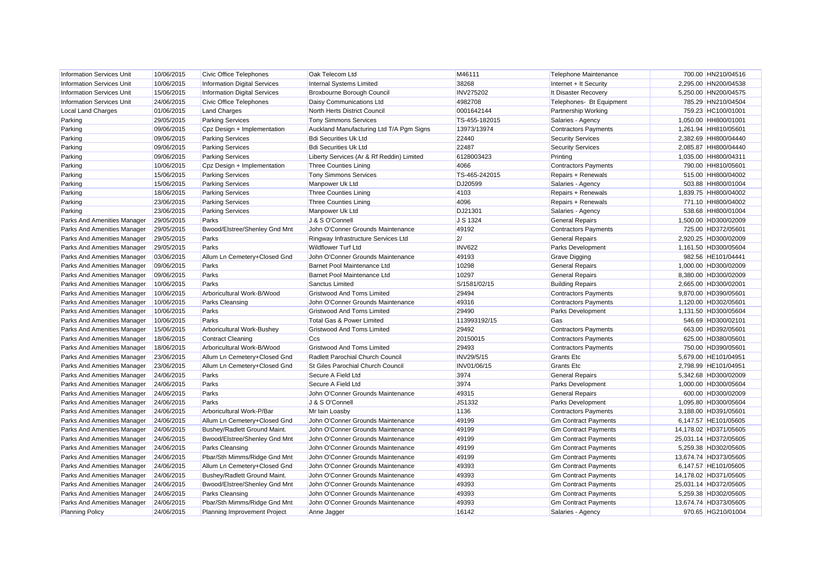| <b>Information Services Unit</b> | 10/06/2015 | <b>Civic Office Telephones</b>      | Oak Telecom Ltd                           | M46111           | Telephone Maintenance       | 700.00 HN210/04516    |
|----------------------------------|------------|-------------------------------------|-------------------------------------------|------------------|-----------------------------|-----------------------|
| <b>Information Services Unit</b> | 10/06/2015 | <b>Information Digital Services</b> | Internal Systems Limited                  | 38268            | Internet + It Security      | 2,295.00 HN200/04538  |
| <b>Information Services Unit</b> | 15/06/2015 | <b>Information Digital Services</b> | Broxbourne Borough Council                | <b>INV275202</b> | It Disaster Recovery        | 5.250.00 HN200/04575  |
| <b>Information Services Unit</b> | 24/06/2015 | <b>Civic Office Telephones</b>      | Daisy Communications Ltd                  | 4982708          | Telephones- Bt Equipment    | 785.29 HN210/04504    |
| <b>Local Land Charges</b>        | 01/06/2015 | <b>Land Charges</b>                 | North Herts District Council              | 0001642144       | <b>Partnership Working</b>  | 759.23 HC100/01001    |
| Parking                          | 29/05/2015 | <b>Parking Services</b>             | <b>Tony Simmons Services</b>              | TS-455-182015    | Salaries - Agency           | 1,050.00 HH800/01001  |
| Parking                          | 09/06/2015 | Cpz Design + Implementation         | Auckland Manufacturing Ltd T/A Pgm Signs  | 13973/13974      | <b>Contractors Payments</b> | 1,261.94 HH810/05601  |
| Parking                          | 09/06/2015 | <b>Parking Services</b>             | <b>Bdi Securities Uk Ltd</b>              | 22440            | <b>Security Services</b>    | 2,382.69 HH800/04440  |
| Parking                          | 09/06/2015 | <b>Parking Services</b>             | <b>Bdi Securities Uk Ltd</b>              | 22487            | <b>Security Services</b>    | 2,085.87 HH800/04440  |
| Parking                          | 09/06/2015 | <b>Parking Services</b>             | Liberty Services (Ar & Rf Reddin) Limited | 6128003423       | Printing                    | 1,035.00 HH800/04311  |
| Parking                          | 10/06/2015 | Cpz Design + Implementation         | Three Counties Lining                     | 4066             | <b>Contractors Payments</b> | 790.00 HH810/05601    |
| Parking                          | 15/06/2015 | <b>Parking Services</b>             | <b>Tony Simmons Services</b>              | TS-465-242015    | Repairs + Renewals          | 515.00 HH800/04002    |
| Parking                          | 15/06/2015 | <b>Parking Services</b>             | Manpower Uk Ltd                           | DJ20599          | Salaries - Agency           | 503.88 HH800/01004    |
| Parking                          | 18/06/2015 | <b>Parking Services</b>             | <b>Three Counties Lining</b>              | 4103             | Repairs + Renewals          | 1,839.75 HH800/04002  |
| Parking                          | 23/06/2015 | <b>Parking Services</b>             | <b>Three Counties Lining</b>              | 4096             | Repairs + Renewals          | 771.10 HH800/04002    |
| Parking                          | 23/06/2015 | <b>Parking Services</b>             | Manpower Uk Ltd                           | DJ21301          | Salaries - Agency           | 538.68 HH800/01004    |
| Parks And Amenities Manager      | 29/05/2015 | Parks                               | J & S O'Connell                           | J S 1324         | <b>General Repairs</b>      | 1,500.00 HD300/02009  |
| Parks And Amenities Manager      | 29/05/2015 | Bwood/Elstree/Shenley Gnd Mnt       | John O'Conner Grounds Maintenance         | 49192            | <b>Contractors Payments</b> | 725.00 HD372/05601    |
| Parks And Amenities Manager      | 29/05/2015 | Parks                               | Ringway Infrastructure Services Ltd       | 2/               | <b>General Repairs</b>      | 2,920.25 HD300/02009  |
| Parks And Amenities Manager      | 29/05/2015 | Parks                               | <b>Wildflower Turf Ltd</b>                | <b>INV622</b>    | Parks Development           | 1,161.50 HD300/05604  |
| Parks And Amenities Manager      | 03/06/2015 | Allum Ln Cemetery+Closed Gnd        | John O'Conner Grounds Maintenance         | 49193            | <b>Grave Digging</b>        | 982.56 HE101/04441    |
| Parks And Amenities Manager      | 09/06/2015 | Parks                               | Barnet Pool Maintenance Ltd               | 10298            | <b>General Repairs</b>      | 1,000.00 HD300/02009  |
| Parks And Amenities Manager      | 09/06/2015 | Parks                               | Barnet Pool Maintenance Ltd               | 10297            | <b>General Repairs</b>      | 8,380.00 HD300/02009  |
| Parks And Amenities Manager      | 10/06/2015 | Parks                               | Sanctus Limited                           | S/1581/02/15     | <b>Building Repairs</b>     | 2.665.00 HD300/02001  |
| Parks And Amenities Manager      | 10/06/2015 | Arboricultural Work-B/Wood          | <b>Gristwood And Toms Limited</b>         | 29494            | <b>Contractors Payments</b> | 9,870.00 HD390/05601  |
| Parks And Amenities Manager      | 10/06/2015 | Parks Cleansing                     | John O'Conner Grounds Maintenance         | 49316            | <b>Contractors Payments</b> | 1,120.00 HD302/05601  |
| Parks And Amenities Manager      | 10/06/2015 | Parks                               | <b>Gristwood And Toms Limited</b>         | 29490            | Parks Development           | 1,131.50 HD300/05604  |
| Parks And Amenities Manager      | 10/06/2015 | Parks                               | Total Gas & Power Limited                 | 113993192/15     | Gas                         | 546.69 HD300/02101    |
| Parks And Amenities Manager      | 15/06/2015 | Arboricultural Work-Bushey          | <b>Gristwood And Toms Limited</b>         | 29492            | <b>Contractors Payments</b> | 663.00 HD392/05601    |
| Parks And Amenities Manager      | 18/06/2015 | <b>Contract Cleaning</b>            | Ccs                                       | 20150015         | <b>Contractors Payments</b> | 625.00 HD380/05601    |
| Parks And Amenities Manager      | 18/06/2015 | Arboricultural Work-B/Wood          | <b>Gristwood And Toms Limited</b>         | 29493            | <b>Contractors Payments</b> | 750.00 HD390/05601    |
| Parks And Amenities Manager      | 23/06/2015 | Allum Ln Cemetery+Closed Gnd        | Radlett Parochial Church Council          | INV29/5/15       | <b>Grants Etc</b>           | 5,679.00 HE101/04951  |
| Parks And Amenities Manager      | 23/06/2015 | Allum Ln Cemetery+Closed Gnd        | St Giles Parochial Church Council         | INV01/06/15      | <b>Grants</b> Etc           | 2,798.99 HE101/04951  |
| Parks And Amenities Manager      | 24/06/2015 | Parks                               | Secure A Field Ltd                        | 3974             | <b>General Repairs</b>      | 5,342.68 HD300/02009  |
| Parks And Amenities Manager      | 24/06/2015 | Parks                               | Secure A Field Ltd                        | 3974             | <b>Parks Development</b>    | 1,000.00 HD300/05604  |
| Parks And Amenities Manager      | 24/06/2015 | Parks                               | John O'Conner Grounds Maintenance         | 49315            | <b>General Repairs</b>      | 600.00 HD300/02009    |
| Parks And Amenities Manager      | 24/06/2015 | Parks                               | J & S O'Connell                           | JS1332           | Parks Development           | 1.095.80 HD300/05604  |
| Parks And Amenities Manager      | 24/06/2015 | Arboricultural Work-P/Bar           | Mr Iain Loasby                            | 1136             | <b>Contractors Payments</b> | 3,188.00 HD391/05601  |
| Parks And Amenities Manager      | 24/06/2015 | Allum Ln Cemetery+Closed Gnd        | John O'Conner Grounds Maintenance         | 49199            | <b>Gm Contract Payments</b> | 6,147.57 HE101/05605  |
| Parks And Amenities Manager      | 24/06/2015 | Bushey/Radlett Ground Maint.        | John O'Conner Grounds Maintenance         | 49199            | <b>Gm Contract Payments</b> | 14,178.02 HD371/05605 |
| Parks And Amenities Manager      | 24/06/2015 | Bwood/Elstree/Shenley Gnd Mnt       | John O'Conner Grounds Maintenance         | 49199            | <b>Gm Contract Payments</b> | 25,031.14 HD372/05605 |
| Parks And Amenities Manager      | 24/06/2015 | Parks Cleansing                     | John O'Conner Grounds Maintenance         | 49199            | <b>Gm Contract Payments</b> | 5,259.38 HD302/05605  |
| Parks And Amenities Manager      | 24/06/2015 | Pbar/Sth Mimms/Ridge Gnd Mnt        | John O'Conner Grounds Maintenance         | 49199            | <b>Gm Contract Payments</b> | 13,674.74 HD373/05605 |
| Parks And Amenities Manager      | 24/06/2015 | Allum Ln Cemetery+Closed Gnd        | John O'Conner Grounds Maintenance         | 49393            | <b>Gm Contract Payments</b> | 6,147.57 HE101/05605  |
| Parks And Amenities Manager      | 24/06/2015 | Bushey/Radlett Ground Maint.        | John O'Conner Grounds Maintenance         | 49393            | <b>Gm Contract Payments</b> | 14,178.02 HD371/05605 |
| Parks And Amenities Manager      | 24/06/2015 | Bwood/Elstree/Shenley Gnd Mnt       | John O'Conner Grounds Maintenance         | 49393            | <b>Gm Contract Payments</b> | 25,031.14 HD372/05605 |
| Parks And Amenities Manager      | 24/06/2015 | <b>Parks Cleansing</b>              | John O'Conner Grounds Maintenance         | 49393            | <b>Gm Contract Payments</b> | 5,259.38 HD302/05605  |
| Parks And Amenities Manager      | 24/06/2015 | Pbar/Sth Mimms/Ridge Gnd Mnt        | John O'Conner Grounds Maintenance         | 49393            | <b>Gm Contract Payments</b> | 13.674.74 HD373/05605 |
| <b>Planning Policy</b>           | 24/06/2015 | Planning Improvement Project        | Anne Jagger                               | 16142            | Salaries - Agency           | 970.65 HG210/01004    |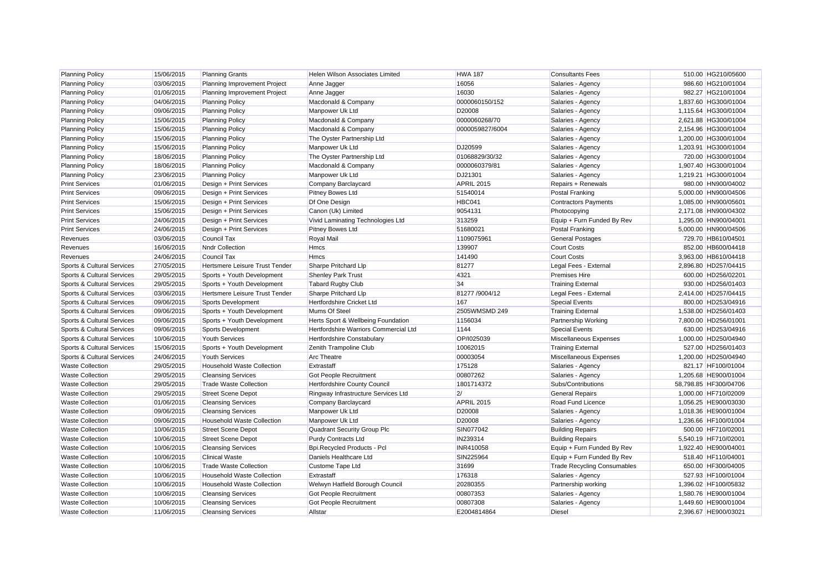| <b>Planning Policy</b>     | 15/06/2015 | <b>Planning Grants</b>            | Helen Wilson Associates Limited       | <b>HWA 187</b>    | <b>Consultants Fees</b>            | 510.00 HG210/05600    |
|----------------------------|------------|-----------------------------------|---------------------------------------|-------------------|------------------------------------|-----------------------|
| <b>Planning Policy</b>     | 03/06/2015 | Planning Improvement Project      | Anne Jagger                           | 16056             | Salaries - Agency                  | 986.60 HG210/01004    |
| <b>Planning Policy</b>     | 01/06/2015 | Planning Improvement Project      | Anne Jagger                           | 16030             | Salaries - Agency                  | 982.27 HG210/01004    |
| <b>Planning Policy</b>     | 04/06/2015 | <b>Planning Policy</b>            | Macdonald & Company                   | 0000060150/152    | Salaries - Agency                  | 1,837.60 HG300/01004  |
| <b>Planning Policy</b>     | 09/06/2015 | <b>Planning Policy</b>            | Manpower Uk Ltd                       | D20008            | Salaries - Agency                  | 1,115.64 HG300/01004  |
| <b>Planning Policy</b>     | 15/06/2015 | <b>Planning Policy</b>            | Macdonald & Company                   | 0000060268/70     | Salaries - Agency                  | 2,621.88 HG300/01004  |
| <b>Planning Policy</b>     | 15/06/2015 | <b>Planning Policy</b>            | Macdonald & Company                   | 0000059827/6004   | Salaries - Agency                  | 2,154.96 HG300/01004  |
| <b>Planning Policy</b>     | 15/06/2015 | <b>Planning Policy</b>            | The Oyster Partnership Ltd            |                   | Salaries - Agency                  | 1,200.00 HG300/01004  |
| <b>Planning Policy</b>     | 15/06/2015 | <b>Planning Policy</b>            | Manpower Uk Ltd                       | DJ20599           | Salaries - Agency                  | 1,203.91 HG300/01004  |
| <b>Planning Policy</b>     | 18/06/2015 | <b>Planning Policy</b>            | The Oyster Partnership Ltd            | 01068829/30/32    | Salaries - Agency                  | 720.00 HG300/01004    |
| <b>Planning Policy</b>     | 18/06/2015 | <b>Planning Policy</b>            | Macdonald & Company                   | 0000060379/81     | Salaries - Agency                  | 1,907.40 HG300/01004  |
| <b>Planning Policy</b>     | 23/06/2015 | <b>Planning Policy</b>            | Manpower Uk Ltd                       | DJ21301           | Salaries - Agency                  | 1,219.21 HG300/01004  |
| <b>Print Services</b>      | 01/06/2015 | Design + Print Services           | Company Barclaycard                   | <b>APRIL 2015</b> | Repairs + Renewals                 | 980.00 HN900/04002    |
| <b>Print Services</b>      | 09/06/2015 | Design + Print Services           | <b>Pitney Bowes Ltd</b>               | 51540014          | <b>Postal Franking</b>             | 5.000.00 HN900/04506  |
| <b>Print Services</b>      | 15/06/2015 | Design + Print Services           | Df One Design                         | HBC041            | <b>Contractors Payments</b>        | 1,085.00 HN900/05601  |
| <b>Print Services</b>      | 15/06/2015 | Design + Print Services           | Canon (Uk) Limited                    | 9054131           | Photocopying                       | 2,171.08 HN900/04302  |
| <b>Print Services</b>      | 24/06/2015 | Design + Print Services           | Vivid Laminating Technologies Ltd     | 313259            | Equip + Furn Funded By Rev         | 1,295.00 HN900/04001  |
| <b>Print Services</b>      | 24/06/2015 | Design + Print Services           | <b>Pitney Bowes Ltd</b>               | 51680021          | <b>Postal Franking</b>             | 5,000.00 HN900/04506  |
| Revenues                   | 03/06/2015 | <b>Council Tax</b>                | Royal Mail                            | 1109075961        | <b>General Postages</b>            | 729.70 HB610/04501    |
| Revenues                   | 16/06/2015 | <b>Nndr Collection</b>            | <b>Hmcs</b>                           | 139907            | <b>Court Costs</b>                 | 852.00 HB600/04418    |
| Revenues                   | 24/06/2015 | <b>Council Tax</b>                | <b>Hmcs</b>                           | 141490            | <b>Court Costs</b>                 | 3.963.00 HB610/04418  |
| Sports & Cultural Services | 27/05/2015 | Hertsmere Leisure Trust Tender    | Sharpe Pritchard Llp                  | 81277             | Legal Fees - External              | 2,896.80 HD257/04415  |
| Sports & Cultural Services | 29/05/2015 | Sports + Youth Development        | <b>Shenley Park Trust</b>             | 4321              | <b>Premises Hire</b>               | 600.00 HD256/02201    |
| Sports & Cultural Services | 29/05/2015 | Sports + Youth Development        | <b>Tabard Rugby Club</b>              | 34                | <b>Training External</b>           | 930.00 HD256/01403    |
| Sports & Cultural Services | 03/06/2015 | Hertsmere Leisure Trust Tender    | Sharpe Pritchard Llp                  | 81277 /9004/12    | Legal Fees - External              | 2,414.00 HD257/04415  |
| Sports & Cultural Services | 09/06/2015 | Sports Development                | Hertfordshire Cricket Ltd             | 167               | <b>Special Events</b>              | 800.00 HD253/04916    |
| Sports & Cultural Services | 09/06/2015 | Sports + Youth Development        | Mums Of Steel                         | 2505WMSMD 249     | <b>Training External</b>           | 1,538.00 HD256/01403  |
| Sports & Cultural Services | 09/06/2015 | Sports + Youth Development        | Herts Sport & Wellbeing Foundation    | 1156034           | Partnership Working                | 7.800.00 HD256/01001  |
| Sports & Cultural Services | 09/06/2015 | Sports Development                | Hertfordshire Warriors Commercial Ltd | 1144              | <b>Special Events</b>              | 630.00 HD253/04916    |
| Sports & Cultural Services | 10/06/2015 | <b>Youth Services</b>             | <b>Hertfordshire Constabulary</b>     | OP/I025039        | Miscellaneous Expenses             | 1,000.00 HD250/04940  |
| Sports & Cultural Services | 15/06/2015 | Sports + Youth Development        | Zenith Trampoline Club                | 10062015          | <b>Training External</b>           | 527.00 HD256/01403    |
| Sports & Cultural Services | 24/06/2015 | <b>Youth Services</b>             | <b>Arc Theatre</b>                    | 00003054          | Miscellaneous Expenses             | 1,200.00 HD250/04940  |
| <b>Waste Collection</b>    | 29/05/2015 | <b>Household Waste Collection</b> | Extrastaff                            | 175128            | Salaries - Agency                  | 821.17 HF100/01004    |
| <b>Waste Collection</b>    | 29/05/2015 | <b>Cleansing Services</b>         | <b>Got People Recruitment</b>         | 00807262          | Salaries - Agency                  | 1,205.68 HE900/01004  |
| <b>Waste Collection</b>    | 29/05/2015 | <b>Trade Waste Collection</b>     | <b>Hertfordshire County Council</b>   | 1801714372        | Subs/Contributions                 | 58,798.85 HF300/04706 |
| <b>Waste Collection</b>    | 29/05/2015 | <b>Street Scene Depot</b>         | Ringway Infrastructure Services Ltd   | 2/                | <b>General Repairs</b>             | 1,000.00 HF710/02009  |
| <b>Waste Collection</b>    | 01/06/2015 | <b>Cleansing Services</b>         | Company Barclaycard                   | <b>APRIL 2015</b> | Road Fund Licence                  | 1,056.25 HE900/03030  |
| <b>Waste Collection</b>    | 09/06/2015 | <b>Cleansing Services</b>         | Manpower Uk Ltd                       | D20008            | Salaries - Agency                  | 1,018.36 HE900/01004  |
| <b>Waste Collection</b>    | 09/06/2015 | Household Waste Collection        | Manpower Uk Ltd                       | D20008            | Salaries - Agency                  | 1,236.66 HF100/01004  |
| <b>Waste Collection</b>    | 10/06/2015 | <b>Street Scene Depot</b>         | Quadrant Security Group Plc           | SIN077042         | <b>Building Repairs</b>            | 500.00 HF710/02001    |
| <b>Waste Collection</b>    | 10/06/2015 | <b>Street Scene Depot</b>         | <b>Purdy Contracts Ltd</b>            | IN239314          | <b>Building Repairs</b>            | 5,540.19 HF710/02001  |
| <b>Waste Collection</b>    | 10/06/2015 | <b>Cleansing Services</b>         | Bpi.Recycled Products - Pcl           | INR410058         | Equip + Furn Funded By Rev         | 1.922.40 HE900/04001  |
| <b>Waste Collection</b>    | 10/06/2015 | <b>Clinical Waste</b>             | Daniels Healthcare Ltd                | SIN225964         | Equip + Furn Funded By Rev         | 518.40 HF110/04001    |
| <b>Waste Collection</b>    | 10/06/2015 | <b>Trade Waste Collection</b>     | Custome Tape Ltd                      | 31699             | <b>Trade Recycling Consumables</b> | 650.00 HF300/04005    |
| <b>Waste Collection</b>    | 10/06/2015 | <b>Household Waste Collection</b> | Extrastaff                            | 176318            | Salaries - Agency                  | 527.93 HF100/01004    |
| <b>Waste Collection</b>    | 10/06/2015 | Household Waste Collection        | Welwyn Hatfield Borough Council       | 20280355          | Partnership working                | 1,396.02 HF100/05832  |
| <b>Waste Collection</b>    | 10/06/2015 | <b>Cleansing Services</b>         | Got People Recruitment                | 00807353          | Salaries - Agency                  | 1,580.76 HE900/01004  |
| <b>Waste Collection</b>    | 10/06/2015 | <b>Cleansing Services</b>         | Got People Recruitment                | 00807308          | Salaries - Agency                  | 1,449.60 HE900/01004  |
| <b>Waste Collection</b>    | 11/06/2015 | <b>Cleansing Services</b>         | Allstar                               | E2004814864       | <b>Diesel</b>                      | 2.396.67 HE900/03021  |